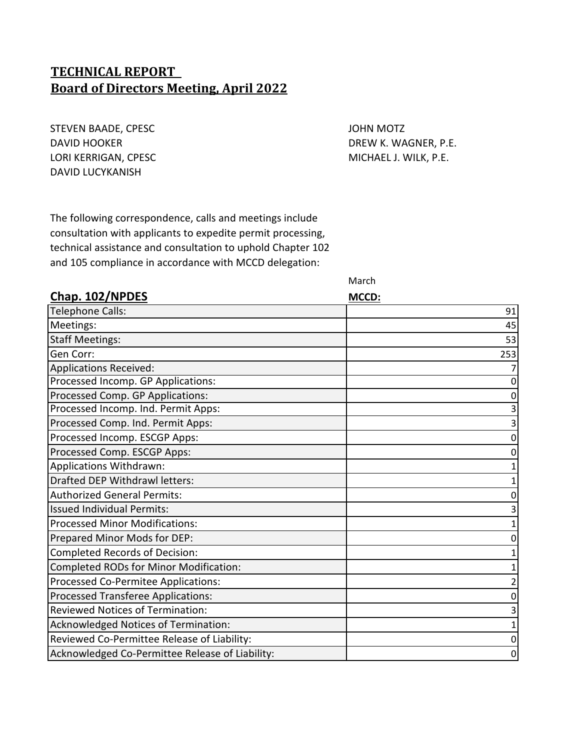# **TECHNICAL REPORT Board of Directors Meeting, April 2022**

STEVEN BAADE, CPESC **STEVEN BAADE, ACCESS** DAVID HOOKER DAVID HOOKER DREW K. WAGNER, P.E. LORI KERRIGAN, CPESC **MICHAEL J. WILK, P.E.** DAVID LUCYKANISH

The following correspondence, calls and meetings include consultation with applicants to expedite permit processing, technical assistance and consultation to uphold Chapter 102 and 105 compliance in accordance with MCCD delegation:

March

| Chap. 102/NPDES                                 | MCCD: |
|-------------------------------------------------|-------|
| Telephone Calls:                                | 91    |
| Meetings:                                       | 45    |
| <b>Staff Meetings:</b>                          | 53    |
| Gen Corr:                                       | 253   |
| Applications Received:                          |       |
| Processed Incomp. GP Applications:              |       |
| Processed Comp. GP Applications:                |       |
| Processed Incomp. Ind. Permit Apps:             |       |
| Processed Comp. Ind. Permit Apps:               |       |
| Processed Incomp. ESCGP Apps:                   |       |
| Processed Comp. ESCGP Apps:                     |       |
| Applications Withdrawn:                         |       |
| Drafted DEP Withdrawl letters:                  |       |
| <b>Authorized General Permits:</b>              |       |
| <b>Issued Individual Permits:</b>               |       |
| <b>Processed Minor Modifications:</b>           |       |
| Prepared Minor Mods for DEP:                    |       |
| Completed Records of Decision:                  |       |
| Completed RODs for Minor Modification:          |       |
| Processed Co-Permitee Applications:             |       |
| Processed Transferee Applications:              |       |
| <b>Reviewed Notices of Termination:</b>         |       |
| Acknowledged Notices of Termination:            |       |
| Reviewed Co-Permittee Release of Liability:     |       |
| Acknowledged Co-Permittee Release of Liability: | 0     |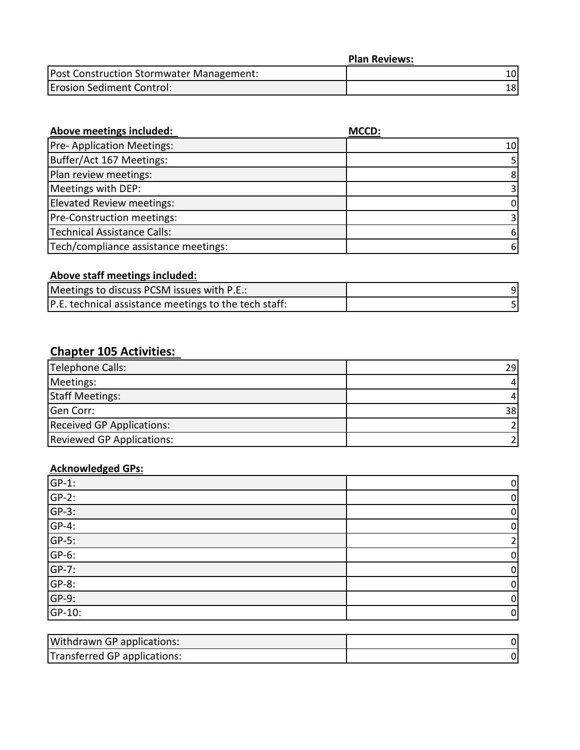|                                          | <b>Plan Reviews:</b> |
|------------------------------------------|----------------------|
| Post Construction Stormwater Management: |                      |
| <b>Erosion Sediment Control:</b>         |                      |

| Above meetings included:             | MCCD: |
|--------------------------------------|-------|
| <b>Pre-Application Meetings:</b>     | 10I   |
| Buffer/Act 167 Meetings:             |       |
| Plan review meetings:                | 8     |
| Meetings with DEP:                   |       |
| Elevated Review meetings:            | 0     |
| Pre-Construction meetings:           |       |
| <b>Technical Assistance Calls:</b>   | 6     |
| Tech/compliance assistance meetings: | 6     |

# **Above staff meetings included:**

| Meetings to discuss PCSM issues with P.E.:            |  |
|-------------------------------------------------------|--|
| P.E. technical assistance meetings to the tech staff: |  |

## **Chapter 105 Activities:**

| Telephone Calls:                 | 29 l |
|----------------------------------|------|
| Meetings:                        |      |
| <b>Staff Meetings:</b>           |      |
| Gen Corr:                        | 38   |
| <b>Received GP Applications:</b> |      |
| <b>Reviewed GP Applications:</b> |      |

# **Acknowledged GPs:**

| $\frac{\text{GP-1:}}{\text{GP-2:}}$ | 0           |
|-------------------------------------|-------------|
|                                     | 0           |
| $GP-3$ :                            | $\mathbf 0$ |
| $GP-4$ :                            | 0           |
| $GP-5$ :                            |             |
| $GP-6$ :                            | 0           |
| $GP-7$ :                            | 0           |
| $GP-8$ :                            | 0           |
| $GP-9$ :                            | 0           |
| GP-10:                              | $\mathbf 0$ |

| <b>Withdrawn GP applications:</b> |  |
|-----------------------------------|--|
| Transferred GP applications:      |  |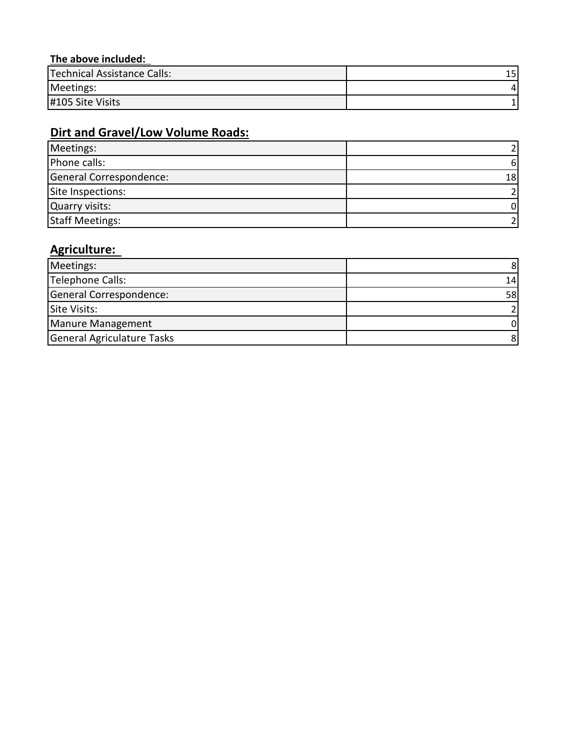## **The above included:**

| Technical Assistance Calls: | 15 |
|-----------------------------|----|
| Meetings:                   |    |
| #105 Site Visits            |    |

# **Dirt and Gravel/Low Volume Roads:**

| Meetings:               |      |
|-------------------------|------|
| Phone calls:            | ь    |
| General Correspondence: | 18 I |
| Site Inspections:       |      |
| Quarry visits:          |      |
| <b>Staff Meetings:</b>  |      |

# **Agriculture:**

| Meetings:                  |                 |
|----------------------------|-----------------|
| Telephone Calls:           | 14              |
| General Correspondence:    | 58 <sub>l</sub> |
| Site Visits:               |                 |
| Manure Management          |                 |
| General Agriculature Tasks |                 |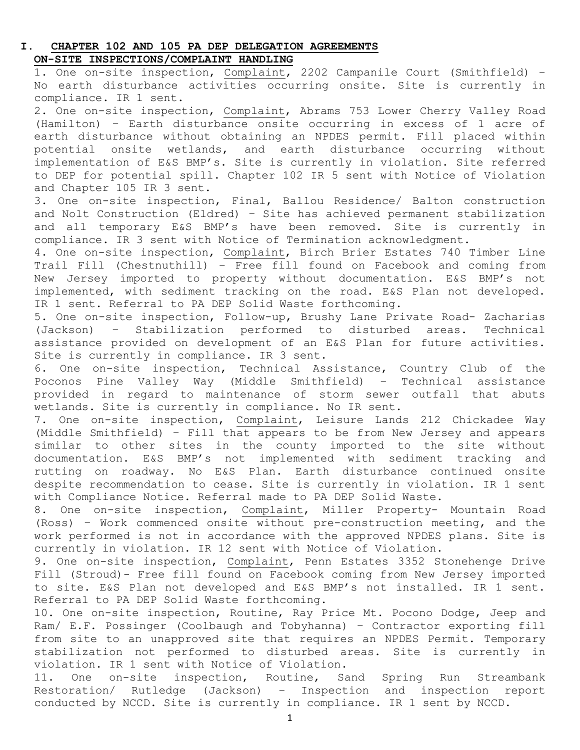### **I. CHAPTER 102 AND 105 PA DEP DELEGATION AGREEMENTS ON-SITE INSPECTIONS/COMPLAINT HANDLING**

1. One on-site inspection, Complaint, 2202 Campanile Court (Smithfield) – No earth disturbance activities occurring onsite. Site is currently in compliance. IR 1 sent.

2. One on-site inspection, Complaint, Abrams 753 Lower Cherry Valley Road (Hamilton) – Earth disturbance onsite occurring in excess of 1 acre of earth disturbance without obtaining an NPDES permit. Fill placed within potential onsite wetlands, and earth disturbance occurring without implementation of E&S BMP's. Site is currently in violation. Site referred to DEP for potential spill. Chapter 102 IR 5 sent with Notice of Violation and Chapter 105 IR 3 sent.

3. One on-site inspection, Final, Ballou Residence/ Balton construction and Nolt Construction (Eldred) – Site has achieved permanent stabilization and all temporary E&S BMP's have been removed. Site is currently in compliance. IR 3 sent with Notice of Termination acknowledgment.

4. One on-site inspection, Complaint, Birch Brier Estates 740 Timber Line Trail Fill (Chestnuthill) – Free fill found on Facebook and coming from New Jersey imported to property without documentation. E&S BMP's not implemented, with sediment tracking on the road. E&S Plan not developed. IR 1 sent. Referral to PA DEP Solid Waste forthcoming.

5. One on-site inspection, Follow-up, Brushy Lane Private Road- Zacharias (Jackson) – Stabilization performed to disturbed areas. Technical assistance provided on development of an E&S Plan for future activities. Site is currently in compliance. IR 3 sent.

6. One on-site inspection, Technical Assistance, Country Club of the Poconos Pine Valley Way (Middle Smithfield) – Technical assistance provided in regard to maintenance of storm sewer outfall that abuts wetlands. Site is currently in compliance. No IR sent.

7. One on-site inspection, Complaint, Leisure Lands 212 Chickadee Way (Middle Smithfield) – Fill that appears to be from New Jersey and appears similar to other sites in the county imported to the site without documentation. E&S BMP's not implemented with sediment tracking and rutting on roadway. No E&S Plan. Earth disturbance continued onsite despite recommendation to cease. Site is currently in violation. IR 1 sent with Compliance Notice. Referral made to PA DEP Solid Waste.

8. One on-site inspection, Complaint, Miller Property- Mountain Road (Ross) – Work commenced onsite without pre-construction meeting, and the work performed is not in accordance with the approved NPDES plans. Site is currently in violation. IR 12 sent with Notice of Violation.

9. One on-site inspection, Complaint, Penn Estates 3352 Stonehenge Drive Fill (Stroud)- Free fill found on Facebook coming from New Jersey imported to site. E&S Plan not developed and E&S BMP's not installed. IR 1 sent. Referral to PA DEP Solid Waste forthcoming.

10. One on-site inspection, Routine, Ray Price Mt. Pocono Dodge, Jeep and Ram/ E.F. Possinger (Coolbaugh and Tobyhanna) – Contractor exporting fill from site to an unapproved site that requires an NPDES Permit. Temporary<br>stabilization not performed to disturbed areas. Site is currently in stabilization not performed to disturbed areas. Site is currently violation. IR 1 sent with Notice of Violation.

11. One on-site inspection, Routine, Sand Spring Run Streambank Restoration/ Rutledge (Jackson) – Inspection and inspection report conducted by NCCD. Site is currently in compliance. IR 1 sent by NCCD.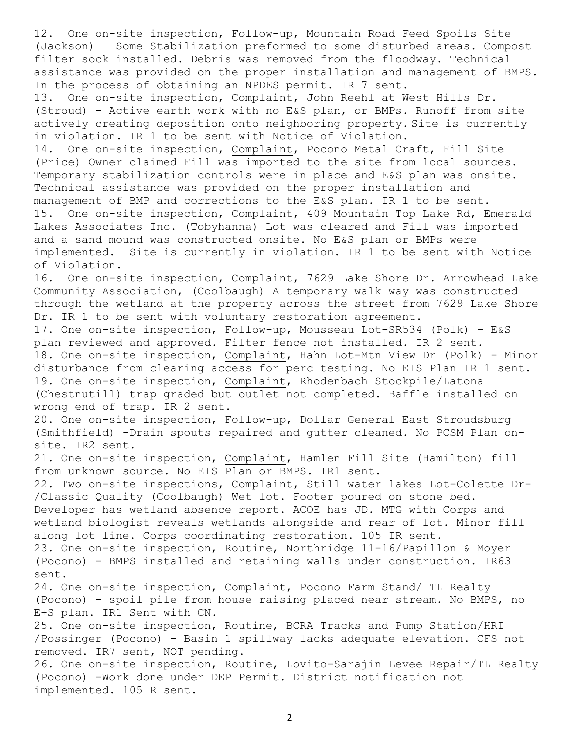12. One on-site inspection, Follow-up, Mountain Road Feed Spoils Site (Jackson) – Some Stabilization preformed to some disturbed areas. Compost filter sock installed. Debris was removed from the floodway. Technical assistance was provided on the proper installation and management of BMPS. In the process of obtaining an NPDES permit. IR 7 sent. 13. One on-site inspection, Complaint, John Reehl at West Hills Dr. (Stroud) - Active earth work with no E&S plan, or BMPs. Runoff from site actively creating deposition onto neighboring property. Site is currently in violation. IR 1 to be sent with Notice of Violation. 14. One on-site inspection, Complaint, Pocono Metal Craft, Fill Site (Price) Owner claimed Fill was imported to the site from local sources. Temporary stabilization controls were in place and E&S plan was onsite. Technical assistance was provided on the proper installation and management of BMP and corrections to the E&S plan. IR 1 to be sent. 15. One on-site inspection, Complaint, 409 Mountain Top Lake Rd, Emerald Lakes Associates Inc. (Tobyhanna) Lot was cleared and Fill was imported and a sand mound was constructed onsite. No E&S plan or BMPs were implemented. Site is currently in violation. IR 1 to be sent with Notice of Violation. 16. One on-site inspection, Complaint, 7629 Lake Shore Dr. Arrowhead Lake Community Association, (Coolbaugh) A temporary walk way was constructed through the wetland at the property across the street from 7629 Lake Shore Dr. IR 1 to be sent with voluntary restoration agreement. 17. One on-site inspection, Follow-up, Mousseau Lot-SR534 (Polk) – E&S plan reviewed and approved. Filter fence not installed. IR 2 sent. 18. One on-site inspection, Complaint, Hahn Lot-Mtn View Dr (Polk) - Minor disturbance from clearing access for perc testing. No E+S Plan IR 1 sent. 19. One on-site inspection, Complaint, Rhodenbach Stockpile/Latona (Chestnutill) trap graded but outlet not completed. Baffle installed on wrong end of trap. IR 2 sent. 20. One on-site inspection, Follow-up, Dollar General East Stroudsburg (Smithfield) -Drain spouts repaired and gutter cleaned. No PCSM Plan onsite. IR2 sent. 21. One on-site inspection, Complaint, Hamlen Fill Site (Hamilton) fill from unknown source. No E+S Plan or BMPS. IR1 sent. 22. Two on-site inspections, Complaint, Still water lakes Lot-Colette Dr- /Classic Quality (Coolbaugh) Wet lot. Footer poured on stone bed. Developer has wetland absence report. ACOE has JD. MTG with Corps and wetland biologist reveals wetlands alongside and rear of lot. Minor fill along lot line. Corps coordinating restoration. 105 IR sent. 23. One on-site inspection, Routine, Northridge 11-16/Papillon & Moyer (Pocono) - BMPS installed and retaining walls under construction. IR63 sent. 24. One on-site inspection, Complaint, Pocono Farm Stand/ TL Realty (Pocono) - spoil pile from house raising placed near stream. No BMPS, no E+S plan. IR1 Sent with CN. 25. One on-site inspection, Routine, BCRA Tracks and Pump Station/HRI /Possinger (Pocono) - Basin 1 spillway lacks adequate elevation. CFS not removed. IR7 sent, NOT pending. 26. One on-site inspection, Routine, Lovito-Sarajin Levee Repair/TL Realty (Pocono) -Work done under DEP Permit. District notification not implemented. 105 R sent.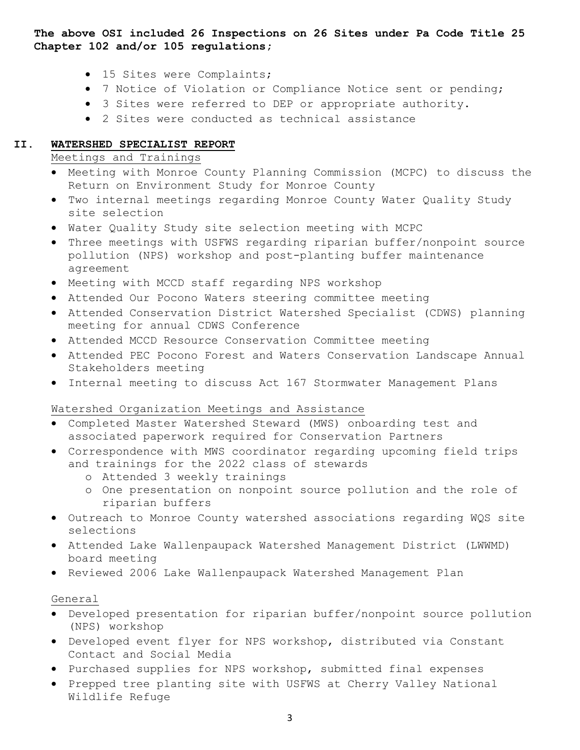**The above OSI included 26 Inspections on 26 Sites under Pa Code Title 25 Chapter 102 and/or 105 regulations;**

- 15 Sites were Complaints;
- 7 Notice of Violation or Compliance Notice sent or pending;
- 3 Sites were referred to DEP or appropriate authority.
- 2 Sites were conducted as technical assistance

### **II. WATERSHED SPECIALIST REPORT**

Meetings and Trainings

- Meeting with Monroe County Planning Commission (MCPC) to discuss the Return on Environment Study for Monroe County
- Two internal meetings regarding Monroe County Water Quality Study site selection
- Water Quality Study site selection meeting with MCPC
- Three meetings with USFWS regarding riparian buffer/nonpoint source pollution (NPS) workshop and post-planting buffer maintenance agreement
- Meeting with MCCD staff regarding NPS workshop
- Attended Our Pocono Waters steering committee meeting
- Attended Conservation District Watershed Specialist (CDWS) planning meeting for annual CDWS Conference
- Attended MCCD Resource Conservation Committee meeting
- Attended PEC Pocono Forest and Waters Conservation Landscape Annual Stakeholders meeting
- Internal meeting to discuss Act 167 Stormwater Management Plans

## Watershed Organization Meetings and Assistance

- Completed Master Watershed Steward (MWS) onboarding test and associated paperwork required for Conservation Partners
- Correspondence with MWS coordinator regarding upcoming field trips and trainings for the 2022 class of stewards
	- o Attended 3 weekly trainings
	- o One presentation on nonpoint source pollution and the role of riparian buffers
- Outreach to Monroe County watershed associations regarding WQS site selections
- Attended Lake Wallenpaupack Watershed Management District (LWWMD) board meeting
- Reviewed 2006 Lake Wallenpaupack Watershed Management Plan

### General

- Developed presentation for riparian buffer/nonpoint source pollution (NPS) workshop
- Developed event flyer for NPS workshop, distributed via Constant Contact and Social Media
- Purchased supplies for NPS workshop, submitted final expenses
- Prepped tree planting site with USFWS at Cherry Valley National Wildlife Refuge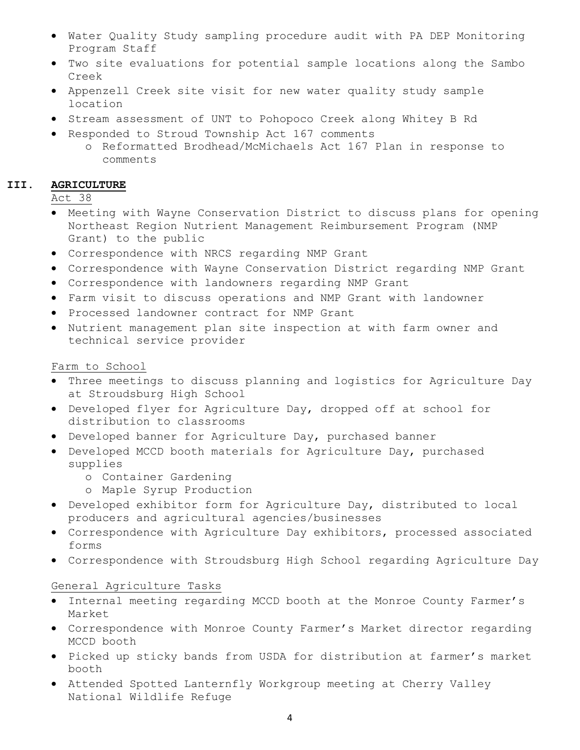- Water Quality Study sampling procedure audit with PA DEP Monitoring Program Staff
- Two site evaluations for potential sample locations along the Sambo Creek
- Appenzell Creek site visit for new water quality study sample location
- Stream assessment of UNT to Pohopoco Creek along Whitey B Rd
- Responded to Stroud Township Act 167 comments
	- o Reformatted Brodhead/McMichaels Act 167 Plan in response to comments

#### **III. AGRICULTURE**

Act 38

- Meeting with Wayne Conservation District to discuss plans for opening Northeast Region Nutrient Management Reimbursement Program (NMP Grant) to the public
- Correspondence with NRCS regarding NMP Grant
- Correspondence with Wayne Conservation District regarding NMP Grant
- Correspondence with landowners regarding NMP Grant
- Farm visit to discuss operations and NMP Grant with landowner
- Processed landowner contract for NMP Grant
- Nutrient management plan site inspection at with farm owner and technical service provider

### Farm to School

- Three meetings to discuss planning and logistics for Agriculture Day at Stroudsburg High School
- Developed flyer for Agriculture Day, dropped off at school for distribution to classrooms
- Developed banner for Agriculture Day, purchased banner
- Developed MCCD booth materials for Agriculture Day, purchased supplies
	- o Container Gardening
	- o Maple Syrup Production
- Developed exhibitor form for Agriculture Day, distributed to local producers and agricultural agencies/businesses
- Correspondence with Agriculture Day exhibitors, processed associated forms
- Correspondence with Stroudsburg High School regarding Agriculture Day

#### General Agriculture Tasks

- Internal meeting regarding MCCD booth at the Monroe County Farmer's Market
- Correspondence with Monroe County Farmer's Market director regarding MCCD booth
- Picked up sticky bands from USDA for distribution at farmer's market booth
- Attended Spotted Lanternfly Workgroup meeting at Cherry Valley National Wildlife Refuge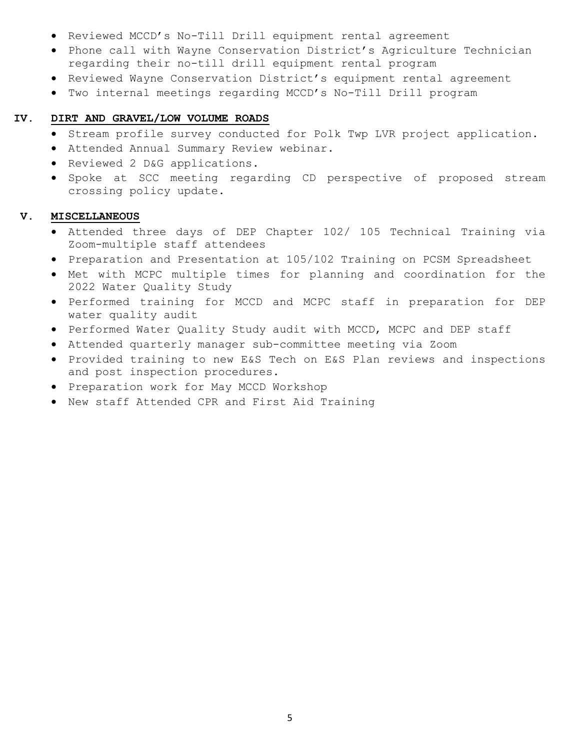- Reviewed MCCD's No-Till Drill equipment rental agreement
- Phone call with Wayne Conservation District's Agriculture Technician regarding their no-till drill equipment rental program
- Reviewed Wayne Conservation District's equipment rental agreement
- Two internal meetings regarding MCCD's No-Till Drill program

#### **IV. DIRT AND GRAVEL/LOW VOLUME ROADS**

- Stream profile survey conducted for Polk Twp LVR project application.
- Attended Annual Summary Review webinar.
- Reviewed 2 D&G applications.
- Spoke at SCC meeting regarding CD perspective of proposed stream crossing policy update.

#### **V. MISCELLANEOUS**

- Attended three days of DEP Chapter 102/ 105 Technical Training via Zoom-multiple staff attendees
- Preparation and Presentation at 105/102 Training on PCSM Spreadsheet
- Met with MCPC multiple times for planning and coordination for the 2022 Water Quality Study
- Performed training for MCCD and MCPC staff in preparation for DEP water quality audit
- Performed Water Quality Study audit with MCCD, MCPC and DEP staff
- Attended quarterly manager sub-committee meeting via Zoom
- Provided training to new E&S Tech on E&S Plan reviews and inspections and post inspection procedures.
- Preparation work for May MCCD Workshop
- New staff Attended CPR and First Aid Training